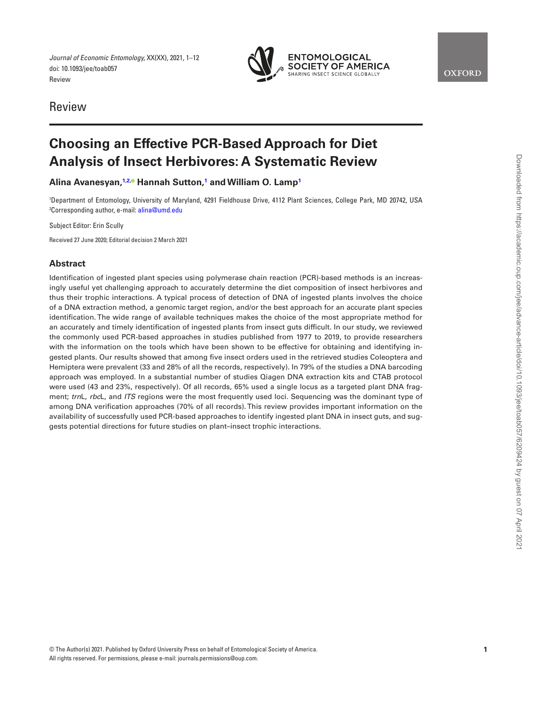*Journal of Economic Entomology,* XX(XX), 2021, 1–12 doi: 10.1093/jee/toab057 Review



Review

# **Choosing an Effective PCR-Based Approach for Diet Analysis of Insect Herbivores: A Systematic Review**

# **Alina Avanesyan, [1,](#page-0-0)[2](#page-0-1)[,](https://orcid.org/0000-0002-4178-656X) Hannah Sutton, [1](#page-0-0) and William O. Lamp[1](#page-0-0)**

<span id="page-0-1"></span><span id="page-0-0"></span>1 Department of Entomology, University of Maryland, 4291 Fieldhouse Drive, 4112 Plant Sciences, College Park, MD 20742, USA <sup>2</sup>Corresponding author, e-mail: <mark>alina@umd.edu</mark>

Subject Editor: Erin Scully

Received 27 June 2020; Editorial decision 2 March 2021

## **Abstract**

Identification of ingested plant species using polymerase chain reaction (PCR)-based methods is an increasingly useful yet challenging approach to accurately determine the diet composition of insect herbivores and thus their trophic interactions. A typical process of detection of DNA of ingested plants involves the choice of a DNA extraction method, a genomic target region, and/or the best approach for an accurate plant species identification. The wide range of available techniques makes the choice of the most appropriate method for an accurately and timely identification of ingested plants from insect guts difficult. In our study, we reviewed the commonly used PCR-based approaches in studies published from 1977 to 2019, to provide researchers with the information on the tools which have been shown to be effective for obtaining and identifying ingested plants. Our results showed that among five insect orders used in the retrieved studies Coleoptera and Hemiptera were prevalent (33 and 28% of all the records, respectively). In 79% of the studies a DNA barcoding approach was employed. In a substantial number of studies Qiagen DNA extraction kits and CTAB protocol were used (43 and 23%, respectively). Of all records, 65% used a single locus as a targeted plant DNA fragment; *trn*L, *rbc*L, and *ITS* regions were the most frequently used loci. Sequencing was the dominant type of among DNA verification approaches (70% of all records). This review provides important information on the availability of successfully used PCR-based approaches to identify ingested plant DNA in insect guts, and suggests potential directions for future studies on plant–insect trophic interactions.

**OXFORD**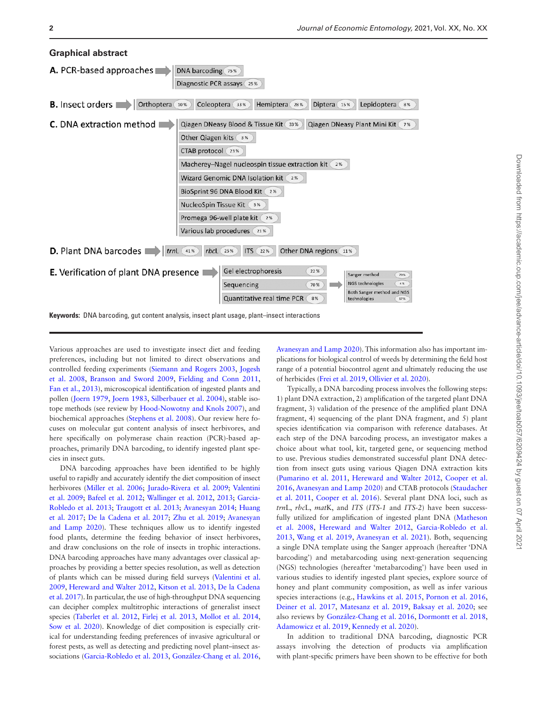

Various approaches are used to investigate insect diet and feeding preferences, including but not limited to direct observations and controlled feeding experiments [\(Siemann and Rogers 2003](#page-11-0), [Jogesh](#page-10-0)  [et al. 2008](#page-10-0), [Branson and Sword 2009](#page-9-0), [Fielding and Conn 2011,](#page-9-1) [Fan et al., 2013\)](#page-9-2), microscopical identification of ingested plants and pollen [\(Joern 1979](#page-10-1), [Joern 1983](#page-10-2), [Silberbauer et al. 2004\)](#page-11-1), stable isotope methods (see review by [Hood-Nowotny and Knols 2007\)](#page-10-3), and biochemical approaches ([Stephens et al. 2008\)](#page-11-2). Our review here focuses on molecular gut content analysis of insect herbivores, and here specifically on polymerase chain reaction (PCR)-based approaches, primarily DNA barcoding, to identify ingested plant species in insect guts.

DNA barcoding approaches have been identified to be highly useful to rapidly and accurately identify the diet composition of insect herbivores ([Miller et al. 2006](#page-10-4); [Jurado-Rivera et al. 2009](#page-10-5); [Valentini](#page-11-3)  [et al. 2009](#page-11-3); [Bafeel et al. 2012](#page-9-3); [Wallinger et al. 2012,](#page-11-4) [2013](#page-11-5); [Garcia-](#page-10-6)[Robledo et al. 2013;](#page-10-6) [Traugott et al. 2013;](#page-11-6) [Avanesyan 2014](#page-9-4); [Huang](#page-10-7)  [et al. 2017](#page-10-7); [De la Cadena et al. 2017;](#page-9-5) [Zhu et al. 2019](#page-11-7); [Avanesyan](#page-9-6)  [and Lamp 2020](#page-9-6)). These techniques allow us to identify ingested food plants, determine the feeding behavior of insect herbivores, and draw conclusions on the role of insects in trophic interactions. DNA barcoding approaches have many advantages over classical approaches by providing a better species resolution, as well as detection of plants which can be missed during field surveys [\(Valentini et al.](#page-11-3)  [2009](#page-11-3), [Hereward and Walter 2012,](#page-10-8) [Kitson et al. 2013](#page-10-9), [De la Cadena](#page-9-5)  [et al. 2017\)](#page-9-5). In particular, the use of high-throughput DNA sequencing can decipher complex multitrophic interactions of generalist insect species ([Taberlet et al. 2012,](#page-11-8) [Firlej et al. 2013,](#page-10-10) [Mollot et al. 2014,](#page-10-11) [Sow et al. 2020](#page-11-9)). Knowledge of diet composition is especially critical for understanding feeding preferences of invasive agricultural or forest pests, as well as detecting and predicting novel plant–insect associations [\(Garcia-Robledo et al. 2013,](#page-10-6) [González-Chang et al. 2016,](#page-10-12)

[Avanesyan and Lamp 2020\)](#page-9-6). This information also has important implications for biological control of weeds by determining the field host range of a potential biocontrol agent and ultimately reducing the use of herbicides [\(Frei et al. 2019](#page-10-13), [Ollivier et al. 2020\)](#page-10-14).

Typically, a DNA barcoding process involves the following steps: 1) plant DNA extraction, 2) amplification of the targeted plant DNA fragment, 3) validation of the presence of the amplified plant DNA fragment, 4) sequencing of the plant DNA fragment, and 5) plant species identification via comparison with reference databases. At each step of the DNA barcoding process, an investigator makes a choice about what tool, kit, targeted gene, or sequencing method to use. Previous studies demonstrated successful plant DNA detection from insect guts using various Qiagen DNA extraction kits [\(Pumarino et al. 2011](#page-11-10), [Hereward and Walter 2012,](#page-10-8) [Cooper et al.](#page-9-7)  [2016](#page-9-7), [Avanesyan and Lamp 2020](#page-9-6)) and CTAB protocols [\(Staudacher](#page-11-11)  [et al. 2011](#page-11-11), [Cooper et al. 2016](#page-9-7)). Several plant DNA loci, such as *trn*L, *rbc*L, *mat*K, and *ITS* (*ITS-1* and *ITS-2*) have been successfully utilized for amplification of ingested plant DNA ([Matheson](#page-10-15)  [et al. 2008,](#page-10-15) [Hereward and Walter 2012,](#page-10-8) [Garcia-Robledo et al.](#page-10-6)  [2013](#page-10-6), [Wang et al. 2019,](#page-11-12) [Avanesyan et al. 2021\)](#page-9-8). Both, sequencing a single DNA template using the Sanger approach (hereafter 'DNA barcoding') and metabarcoding using next-generation sequencing (NGS) technologies (hereafter 'metabarcoding') have been used in various studies to identify ingested plant species, explore source of honey and plant community composition, as well as infer various species interactions (e.g., [Hawkins et al. 2015,](#page-10-16) [Pornon et al. 2016,](#page-11-13) [Deiner et al. 2017](#page-9-9), [Matesanz et al. 2019,](#page-10-17) [Baksay et al. 2020;](#page-9-10) see also reviews by [González-Chang et al. 2016,](#page-10-12) [Dormontt et al. 2018,](#page-9-11) [Adamowicz et al. 2019](#page-9-12), [Kennedy et al. 2020\)](#page-10-18).

In addition to traditional DNA barcoding, diagnostic PCR assays involving the detection of products via amplification with plant-specific primers have been shown to be effective for both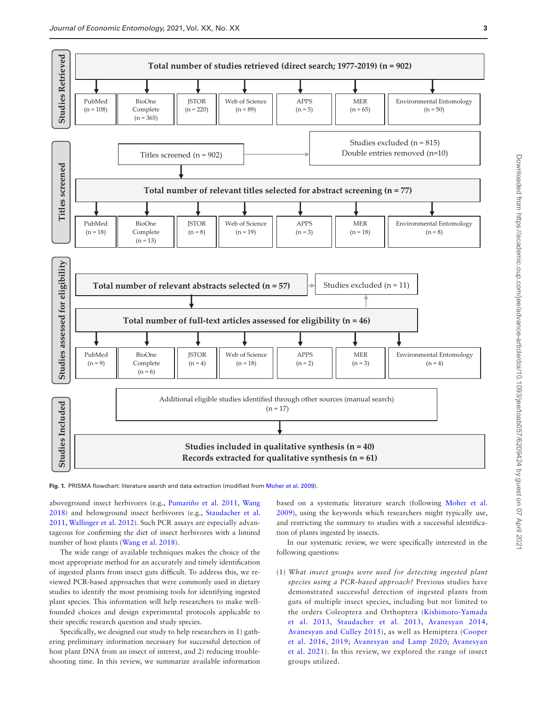

<span id="page-2-0"></span>**Fig. 1.** PRISMA flowchart: literature search and data extraction (modified from [Moher et al. 2009\)](#page-10-19).

aboveground insect herbivores (e.g., [Pumariño et al. 2011,](#page-11-10) [Wang](#page-11-14)  [2018](#page-11-14)) and belowground insect herbivores (e.g., [Staudacher et al.](#page-11-11)  [2011](#page-11-11), [Wallinger et al. 2012\)](#page-11-4). Such PCR assays are especially advantageous for confirming the diet of insect herbivores with a limited number of host plants ([Wang et al. 2018](#page-11-14)).

The wide range of available techniques makes the choice of the most appropriate method for an accurately and timely identification of ingested plants from insect guts difficult. To address this, we reviewed PCR-based approaches that were commonly used in dietary studies to identify the most promising tools for identifying ingested plant species. This information will help researchers to make wellfounded choices and design experimental protocols applicable to their specific research question and study species.

Specifically, we designed our study to help researchers in 1) gathering preliminary information necessary for successful detection of host plant DNA from an insect of interest, and 2) reducing troubleshooting time. In this review, we summarize available information

based on a systematic literature search (following [Moher et al.](#page-10-19)  [2009](#page-10-19)), using the keywords which researchers might typically use, and restricting the summary to studies with a successful identification of plants ingested by insects.

In our systematic review, we were specifically interested in the following questions:

(1) *What insect groups were used for detecting ingested plant species using a PCR-based approach?* Previous studies have demonstrated successful detection of ingested plants from guts of multiple insect species, including but not limited to the orders Coleoptera and Orthoptera ([Kishimoto-Yamada](#page-10-20)  [et al. 2013,](#page-10-20) [Staudacher et al. 2013](#page-11-15), [Avanesyan 2014,](#page-9-4) [Avanesyan and Culley 2015\)](#page-9-13), as well as Hemiptera ([Cooper](#page-9-7)  [et al. 2016,](#page-9-7) [2019](#page-9-14); [Avanesyan and Lamp 2020;](#page-9-6) [Avanesyan](#page-9-8)  [et al. 2021\)](#page-9-8). In this review, we explored the range of insect groups utilized.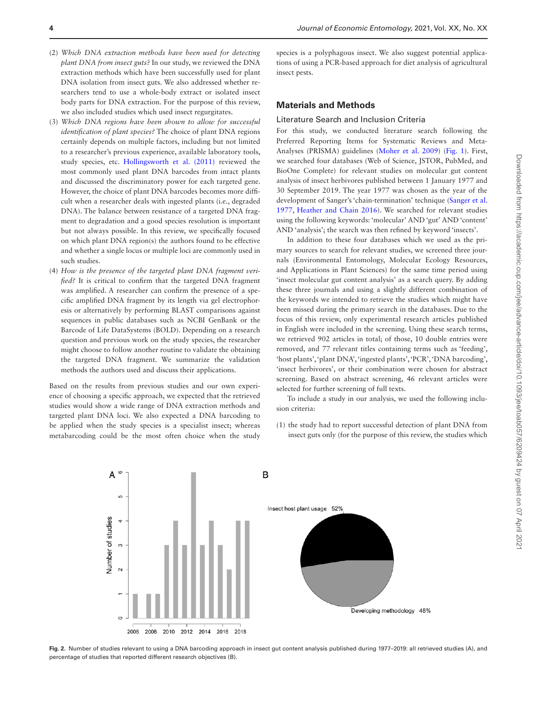- (2) *Which DNA extraction methods have been used for detecting plant DNA from insect guts*? In our study, we reviewed the DNA extraction methods which have been successfully used for plant DNA isolation from insect guts. We also addressed whether researchers tend to use a whole-body extract or isolated insect body parts for DNA extraction. For the purpose of this review, we also included studies which used insect regurgitates.
- (3) *Which DNA regions have been shown to allow for successful identification of plant species?* The choice of plant DNA regions certainly depends on multiple factors, including but not limited to a researcher's previous experience, available laboratory tools, study species, etc. [Hollingsworth et al. \(2011\)](#page-10-21) reviewed the most commonly used plant DNA barcodes from intact plants and discussed the discriminatory power for each targeted gene. However, the choice of plant DNA barcodes becomes more difficult when a researcher deals with ingested plants (i.e., degraded DNA). The balance between resistance of a targeted DNA fragment to degradation and a good species resolution is important but not always possible. In this review, we specifically focused on which plant DNA region(s) the authors found to be effective and whether a single locus or multiple loci are commonly used in such studies.
- (4) *How is the presence of the targeted plant DNA fragment verified?* It is critical to confirm that the targeted DNA fragment was amplified. A researcher can confirm the presence of a specific amplified DNA fragment by its length via gel electrophoresis or alternatively by performing BLAST comparisons against sequences in public databases such as NCBI GenBank or the Barcode of Life DataSystems (BOLD). Depending on a research question and previous work on the study species, the researcher might choose to follow another routine to validate the obtaining the targeted DNA fragment. We summarize the validation methods the authors used and discuss their applications.

Based on the results from previous studies and our own experience of choosing a specific approach, we expected that the retrieved studies would show a wide range of DNA extraction methods and targeted plant DNA loci. We also expected a DNA barcoding to be applied when the study species is a specialist insect; whereas metabarcoding could be the most often choice when the study

species is a polyphagous insect. We also suggest potential applications of using a PCR-based approach for diet analysis of agricultural insect pests.

## **Materials and Methods**

## Literature Search and Inclusion Criteria

For this study, we conducted literature search following the Preferred Reporting Items for Systematic Reviews and Meta-Analyses (PRISMA) guidelines ([Moher et al. 2009\)](#page-10-19) ([Fig. 1](#page-2-0)). First, we searched four databases (Web of Science, JSTOR, PubMed, and BioOne Complete) for relevant studies on molecular gut content analysis of insect herbivores published between 1 January 1977 and 30 September 2019. The year 1977 was chosen as the year of the development of Sanger's 'chain-termination' technique ([Sanger et al.](#page-11-16)  [1977](#page-11-16), [Heather and Chain 2016\)](#page-10-22). We searched for relevant studies using the following keywords: 'molecular' AND 'gut' AND 'content' AND 'analysis'; the search was then refined by keyword 'insects'.

In addition to these four databases which we used as the primary sources to search for relevant studies, we screened three journals (Environmental Entomology, Molecular Ecology Resources, and Applications in Plant Sciences) for the same time period using 'insect molecular gut content analysis' as a search query. By adding these three journals and using a slightly different combination of the keywords we intended to retrieve the studies which might have been missed during the primary search in the databases. Due to the focus of this review, only experimental research articles published in English were included in the screening. Using these search terms, we retrieved 902 articles in total; of those, 10 double entries were removed, and 77 relevant titles containing terms such as 'feeding', 'host plants', 'plant DNA', 'ingested plants', 'PCR', 'DNA barcoding', 'insect herbivores', or their combination were chosen for abstract screening. Based on abstract screening, 46 relevant articles were selected for further screening of full texts.

To include a study in our analysis, we used the following inclusion criteria:

(1) the study had to report successful detection of plant DNA from insect guts only (for the purpose of this review, the studies which



<span id="page-3-0"></span>**Fig. 2.** Number of studies relevant to using a DNA barcoding approach in insect gut content analysis published during 1977–2019: all retrieved studies (A), and percentage of studies that reported different research objectives (B).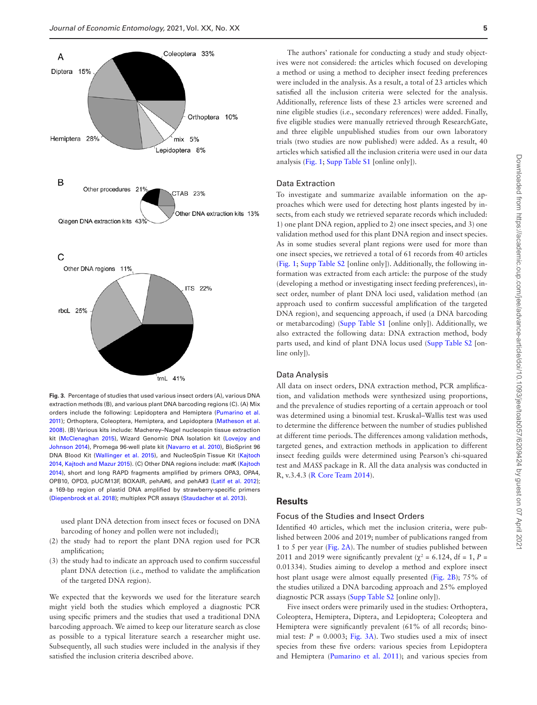

<span id="page-4-0"></span>**Fig. 3.** Percentage of studies that used various insect orders (A), various DNA extraction methods (B), and various plant DNA barcoding regions (C). (A) Mix orders include the following: Lepidoptera and Hemiptera [\(Pumarino et al.](#page-11-10)  [2011\)](#page-11-10); Orthoptera, Coleoptera, Hemiptera, and Lepidoptera [\(Matheson et al.](#page-10-15)  [2008](#page-10-15)). (B) Various kits include: Macherey–Nagel nucleospin tissue extraction kit [\(McClenaghan 2015\)](#page-10-23), Wizard Genomic DNA Isolation kit ([Lovejoy and](#page-10-24)  [Johnson 2014](#page-10-24)), Promega 96-well plate kit [\(Navarro et al. 2010](#page-10-25)), BioSprint 96 DNA Blood Kit [\(Wallinger et al. 2015](#page-11-18)), and NucleoSpin Tissue Kit ([Kajtoch](#page-10-26)  [2014,](#page-10-26) [Kajtoch and Mazur 2015](#page-10-27)). (C) Other DNA regions include: *mat*K ([Kajtoch](#page-10-26)  [2014\)](#page-10-26), short and long RAPD fragments amplified by primers OPA3, OPA4, OPB10, OPD3, pUC/M13F, BOXAIR, pehA#6, and pehA#3 [\(Latif et al. 2012\)](#page-10-28); a 169-bp region of plastid DNA amplified by strawberry-specific primers ([Diepenbrock et al. 2018\)](#page-9-15); multiplex PCR assays [\(Staudacher et al. 2013](#page-11-15)).

used plant DNA detection from insect feces or focused on DNA barcoding of honey and pollen were not included);

- (2) the study had to report the plant DNA region used for PCR amplification;
- (3) the study had to indicate an approach used to confirm successful plant DNA detection (i.e., method to validate the amplification of the targeted DNA region).

We expected that the keywords we used for the literature search might yield both the studies which employed a diagnostic PCR using specific primers and the studies that used a traditional DNA barcoding approach. We aimed to keep our literature search as close as possible to a typical literature search a researcher might use. Subsequently, all such studies were included in the analysis if they satisfied the inclusion criteria described above.

The authors' rationale for conducting a study and study objectives were not considered: the articles which focused on developing a method or using a method to decipher insect feeding preferences were included in the analysis. As a result, a total of 23 articles which satisfied all the inclusion criteria were selected for the analysis. Additionally, reference lists of these 23 articles were screened and nine eligible studies (i.e., secondary references) were added. Finally, five eligible studies were manually retrieved through ResearchGate, and three eligible unpublished studies from our own laboratory trials (two studies are now published) were added. As a result, 40 articles which satisfied all the inclusion criteria were used in our data analysis ([Fig. 1;](#page-2-0) [Supp Table S1](http://academic.oup.com/jee/article-lookup/doi/10.1093/jee/toab057#supplementary-data) [online only]).

#### Data Extraction

To investigate and summarize available information on the approaches which were used for detecting host plants ingested by insects, from each study we retrieved separate records which included: 1) one plant DNA region, applied to 2) one insect species, and 3) one validation method used for this plant DNA region and insect species. As in some studies several plant regions were used for more than one insect species, we retrieved a total of 61 records from 40 articles [\(Fig. 1;](#page-2-0) [Supp Table S2](http://academic.oup.com/jee/article-lookup/doi/10.1093/jee/toab057#supplementary-data) [online only]). Additionally, the following information was extracted from each article: the purpose of the study (developing a method or investigating insect feeding preferences), insect order, number of plant DNA loci used, validation method (an approach used to confirm successful amplification of the targeted DNA region), and sequencing approach, if used (a DNA barcoding or metabarcoding) [\(Supp Table S1](http://academic.oup.com/jee/article-lookup/doi/10.1093/jee/toab057#supplementary-data) [online only]). Additionally, we also extracted the following data: DNA extraction method, body parts used, and kind of plant DNA locus used ([Supp Table S2](http://academic.oup.com/jee/article-lookup/doi/10.1093/jee/toab057#supplementary-data) [online only]).

#### Data Analysis

All data on insect orders, DNA extraction method, PCR amplification, and validation methods were synthesized using proportions, and the prevalence of studies reporting of a certain approach or tool was determined using a binomial test. Kruskal–Wallis test was used to determine the difference between the number of studies published at different time periods. The differences among validation methods, targeted genes, and extraction methods in application to different insect feeding guilds were determined using Pearson's chi-squared test and *MASS* package in R. All the data analysis was conducted in R, v.3.4.3 ([R Core Team 2014](#page-11-17)).

## **Results**

#### Focus of the Studies and Insect Orders

Identified 40 articles, which met the inclusion criteria, were published between 2006 and 2019; number of publications ranged from 1 to 5 per year ([Fig. 2A\)](#page-3-0). The number of studies published between 2011 and 2019 were significantly prevalent ( $\chi^2$  = 6.124, df = 1, P = 0.01334). Studies aiming to develop a method and explore insect host plant usage were almost equally presented [\(Fig. 2B](#page-3-0)); 75% of the studies utilized a DNA barcoding approach and 25% employed diagnostic PCR assays [\(Supp Table S2](http://academic.oup.com/jee/article-lookup/doi/10.1093/jee/toab057#supplementary-data) [online only]).

Five insect orders were primarily used in the studies: Orthoptera, Coleoptera, Hemiptera, Diptera, and Lepidoptera; Coleoptera and Hemiptera were significantly prevalent (61% of all records; binomial test:  $P = 0.0003$ ; [Fig. 3A\)](#page-4-0). Two studies used a mix of insect species from these five orders: various species from Lepidoptera and Hemiptera [\(Pumarino et al. 2011\)](#page-11-10); and various species from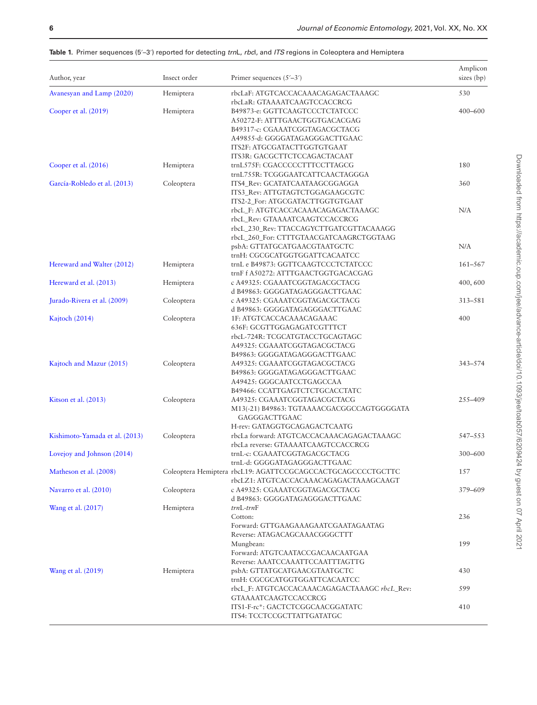| Author, year                   | Insect order | Primer sequences $(5'–3')$                                           | Amplicon<br>sizes (bp) |  |
|--------------------------------|--------------|----------------------------------------------------------------------|------------------------|--|
| Avanesyan and Lamp (2020)      | Hemiptera    | rbcLaF: ATGTCACCACAAACAGAGACTAAAGC                                   | 530                    |  |
| Cooper et al. (2019)           | Hemiptera    | rbcLaR: GTAAAATCAAGTCCACCRCG<br>B49873-e: GGTTCAAGTCCCTCTATCCC       | $400 - 600$            |  |
|                                |              | A50272-F: ATTTGAACTGGTGACACGAG<br>B49317-c: CGAAATCGGTAGACGCTACG     |                        |  |
|                                |              | A49855-d: GGGGATAGAGGGACTTGAAC                                       |                        |  |
|                                |              | ITS2F: ATGCGATACTTGGTGTGAAT                                          |                        |  |
|                                |              | ITS3R: GACGCTTCTCCAGACTACAAT                                         |                        |  |
| Cooper et al. (2016)           | Hemiptera    | trnL575F: CGACCCCCTTTCCTTAGCG                                        | 180                    |  |
|                                |              | trnL755R: TCGGGAATCATTCAACTAGGGA                                     |                        |  |
| García-Robledo et al. (2013)   | Coleoptera   | ITS4_Rev: GCATATCAATAAGCGGAGGA                                       | 360                    |  |
|                                |              | ITS3_Rev: ATTGTAGTCTGGAGAAGCGTC                                      |                        |  |
|                                |              | ITS2-2_For: ATGCGATACTTGGTGTGAAT                                     |                        |  |
|                                |              | rbcL_F: ATGTCACCACAAACAGAGACTAAAGC                                   | N/A                    |  |
|                                |              | rbcL_Rev: GTAAAATCAAGTCCACCRCG                                       |                        |  |
|                                |              | rbcL_230_Rev: TTACCAGYCTTGATCGTTACAAAGG                              |                        |  |
|                                |              | rbcL_260_For: CTTTGTAACGATCAAGRCTGGTAAG                              |                        |  |
|                                |              | psbA: GTTATGCATGAACGTAATGCTC                                         | N/A                    |  |
| Hereward and Walter (2012)     | Hemiptera    | trnH: CGCGCATGGTGGATTCACAATCC<br>trnL e B49873: GGTTCAAGTCCCTCTATCCC | $161 - 567$            |  |
|                                |              | trnF f A50272: ATTTGAACTGGTGACACGAG                                  |                        |  |
| Hereward et al. (2013)         | Hemiptera    | c A49325: CGAAATCGGTAGACGCTACG                                       | 400,600                |  |
|                                |              | d B49863: GGGGATAGAGGGACTTGAAC                                       |                        |  |
| Jurado-Rivera et al. (2009)    | Coleoptera   | c A49325: CGAAATCGGTAGACGCTACG                                       | 313-581                |  |
|                                |              | d B49863: GGGGATAGAGGGACTTGAAC                                       |                        |  |
| Kajtoch (2014)                 | Coleoptera   | 1F: ATGTCACCACAAACAGAAAC                                             | 400                    |  |
|                                |              | 636F: GCGTTGGAGAGATCGTTTCT                                           |                        |  |
|                                |              | rbcL-724R: TCGCATGTACCTGCAGTAGC                                      |                        |  |
|                                |              | A49325: CGAAATCGGTAGACGCTACG                                         |                        |  |
|                                |              | B49863: GGGGATAGAGGGACTTGAAC                                         |                        |  |
| Kajtoch and Mazur (2015)       | Coleoptera   | A49325: CGAAATCGGTAGACGCTACG                                         | 343-574                |  |
|                                |              | B49863: GGGGATAGAGGGACTTGAAC                                         |                        |  |
|                                |              | A49425: GGGCAATCCTGAGCCAA                                            |                        |  |
|                                |              | B49466: CCATTGAGTCTCTGCACCTATC                                       |                        |  |
| Kitson et al. (2013)           | Coleoptera   | A49325: CGAAATCGGTAGACGCTACG                                         | 255-409                |  |
|                                |              | M13(-21) B49863: TGTAAAACGACGGCCAGTGGGGATA                           |                        |  |
|                                |              | GAGGGACTTGAAC                                                        |                        |  |
|                                |              | H-rev: GATAGGTGCAGAGACTCAATG                                         |                        |  |
| Kishimoto-Yamada et al. (2013) | Coleoptera   | rbcLa forward: ATGTCACCACAAACAGAGACTAAAGC                            | 547-553                |  |
| Lovejoy and Johnson (2014)     |              | rbcLa reverse: GTAAAATCAAGTCCACCRCG<br>trnL-c: CGAAATCGGTAGACGCTACG  | $300 - 600$            |  |
|                                |              | trnL-d: GGGGATAGAGGGACTTGAAC                                         |                        |  |
| Matheson et al. (2008)         |              | Coleoptera Hemiptera rbcL19: AGATTCCGCAGCCACTGCAGCCCCTGCTTC          | 157                    |  |
|                                |              | rbcLZ1: ATGTCACCACAAACAGAGACTAAAGCAAGT                               |                        |  |
| Navarro et al. (2010)          | Coleoptera   | c A49325: CGAAATCGGTAGACGCTACG                                       | 379-609                |  |
|                                |              | d B49863: GGGGATAGAGGGACTTGAAC                                       |                        |  |
| Wang et al. (2017)             | Hemiptera    | $trn$ L- $trn$ F                                                     |                        |  |
|                                |              | Cotton:                                                              | 236                    |  |
|                                |              | Forward: GTTGAAGAAAGAATCGAATAGAATAG                                  |                        |  |
|                                |              | Reverse: ATAGACAGCAAACGGGCTTT                                        |                        |  |
|                                |              | Mungbean:                                                            | 199                    |  |
|                                |              | Forward: ATGTCAATACCGACAACAATGAA                                     |                        |  |
|                                |              | Reverse: AAATCCAAATTCCAATTTAGTTG                                     |                        |  |
| Wang et al. (2019)             | Hemiptera    | psbA: GTTATGCATGAACGTAATGCTC                                         | 430                    |  |
|                                |              | trnH: CGCGCATGGTGGATTCACAATCC                                        |                        |  |
|                                |              | rbcL_F: ATGTCACCACAAACAGAGACTAAAGC rbcL_Rev:                         | 599                    |  |
|                                |              | <b>GTAAAATCAAGTCCACCRCG</b>                                          |                        |  |
|                                |              | ITS1-F-rc*: GACTCTCGGCAACGGATATC                                     | 410                    |  |
|                                |              | ITS4: TCCTCCGCTTATTGATATGC                                           |                        |  |

<span id="page-5-0"></span>

|  | <b>Table 1.</b> Primer sequences (5'–3') reported for detecting trnL, rbcl, and ITS regions in Coleoptera and Hemiptera |  |  |  |  |
|--|-------------------------------------------------------------------------------------------------------------------------|--|--|--|--|
|--|-------------------------------------------------------------------------------------------------------------------------|--|--|--|--|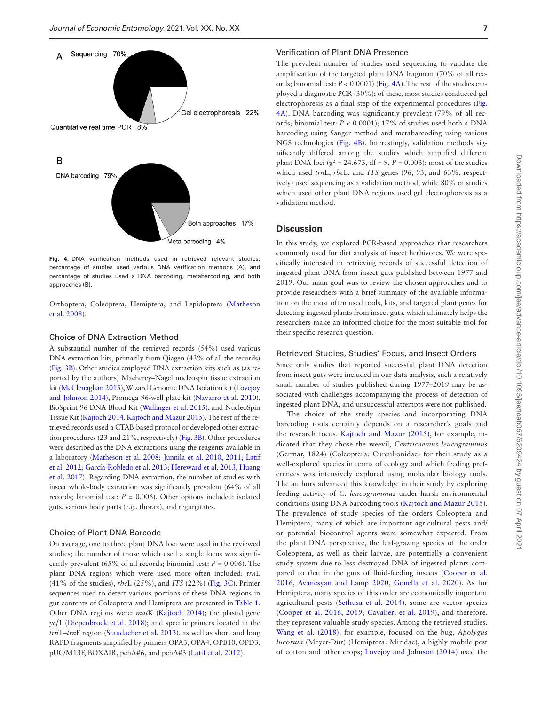

<span id="page-6-0"></span>**Fig. 4.** DNA verification methods used in retrieved relevant studies: percentage of studies used various DNA verification methods (A), and percentage of studies used a DNA barcoding, metabarcoding, and both approaches (B).

Orthoptera, Coleoptera, Hemiptera, and Lepidoptera ([Matheson](#page-10-15)  [et al. 2008](#page-10-15)).

#### Choice of DNA Extraction Method

A substantial number of the retrieved records (54%) used various DNA extraction kits, primarily from Qiagen (43% of all the records) [\(Fig. 3B\)](#page-4-0). Other studies employed DNA extraction kits such as (as reported by the authors) Macherey–Nagel nucleospin tissue extraction kit ([McClenaghan 2015\)](#page-10-23), Wizard Genomic DNA Isolation kit ([Lovejoy](#page-10-24)  [and Johnson 2014](#page-10-24)), Promega 96-well plate kit ([Navarro et al. 2010](#page-10-25)), BioSprint 96 DNA Blood Kit ([Wallinger et al. 2015](#page-11-18)), and NucleoSpin Tissue Kit ([Kajtoch 2014](#page-10-26), [Kajtoch and Mazur 2015\)](#page-10-27). The rest of the retrieved records used a CTAB-based protocol or developed other extraction procedures (23 and 21%, respectively) [\(Fig. 3B](#page-4-0)). Other procedures were described as the DNA extractions using the reagents available in a laboratory [\(Matheson et al. 2008](#page-10-15); [Junnila et al. 2010,](#page-10-30) [2011;](#page-10-31) [Latif](#page-10-28)  [et al. 2012](#page-10-28); [García-Robledo et al. 2013;](#page-10-6) [Hereward et al. 2013,](#page-10-29) [Huang](#page-10-7)  [et al. 2017\)](#page-10-7). Regarding DNA extraction, the number of studies with insect whole-body extraction was significantly prevalent (64% of all records; binomial test:  $P = 0.006$ ). Other options included: isolated guts, various body parts (e.g., thorax), and regurgitates.

#### Choice of Plant DNA Barcode

On average, one to three plant DNA loci were used in the reviewed studies; the number of those which used a single locus was significantly prevalent (65% of all records; binomial test:  $P = 0.006$ ). The plant DNA regions which were used more often included: *trn*L (41% of the studies), *rbc*L (25%), and *ITS* (22%) [\(Fig. 3C](#page-4-0)). Primer sequences used to detect various portions of these DNA regions in gut contents of Coleoptera and Hemiptera are presented in [Table 1.](#page-5-0) Other DNA regions were: *mat*K ([Kajtoch 2014](#page-10-26)); the plastid gene *ycf*1 ([Diepenbrock et al. 2018](#page-9-15)); and specific primers located in the *trn*T–*trn*F region [\(Staudacher et al. 2013\)](#page-11-15), as well as short and long RAPD fragments amplified by primers OPA3, OPA4, OPB10, OPD3, pUC/M13F, BOXAIR, pehA#6, and pehA#3 ([Latif et al. 2012\)](#page-10-28).

#### Verification of Plant DNA Presence

The prevalent number of studies used sequencing to validate the amplification of the targeted plant DNA fragment (70% of all records; binomial test:  $P < 0.0001$  ([Fig. 4A\)](#page-6-0). The rest of the studies employed a diagnostic PCR (30%); of these, most studies conducted gel electrophoresis as a final step of the experimental procedures [\(Fig.](#page-6-0)  [4A\)](#page-6-0). DNA barcoding was significantly prevalent (79% of all records; binomial test: *P* < 0.0001); 17% of studies used both a DNA barcoding using Sanger method and metabarcoding using various NGS technologies [\(Fig. 4B\)](#page-6-0). Interestingly, validation methods significantly differed among the studies which amplified different plant DNA loci ( $\chi^2$  = 24.673, df = 9, *P* = 0.003): most of the studies which used *trn*L, *rbc*L, and *ITS* genes (96, 93, and 63%, respectively) used sequencing as a validation method, while 80% of studies which used other plant DNA regions used gel electrophoresis as a validation method.

#### **Discussion**

In this study, we explored PCR-based approaches that researchers commonly used for diet analysis of insect herbivores. We were specifically interested in retrieving records of successful detection of ingested plant DNA from insect guts published between 1977 and 2019. Our main goal was to review the chosen approaches and to provide researchers with a brief summary of the available information on the most often used tools, kits, and targeted plant genes for detecting ingested plants from insect guts, which ultimately helps the researchers make an informed choice for the most suitable tool for their specific research question.

#### Retrieved Studies, Studies' Focus, and Insect Orders

Since only studies that reported successful plant DNA detection from insect guts were included in our data analysis, such a relatively small number of studies published during 1977–2019 may be associated with challenges accompanying the process of detection of ingested plant DNA, and unsuccessful attempts were not published.

The choice of the study species and incorporating DNA barcoding tools certainly depends on a researcher's goals and the research focus. [Kajtoch and Mazur \(2015\),](#page-10-27) for example, indicated that they chose the weevil, *Centricnemus leucogrammus* (Germar, 1824) (Coleoptera: Curculionidae) for their study as a well-explored species in terms of ecology and which feeding preferences was intensively explored using molecular biology tools. The authors advanced this knowledge in their study by exploring feeding activity of *C. leucogrammus* under harsh environmental conditions using DNA barcoding tools [\(Kajtoch and Mazur 2015\)](#page-10-27). The prevalence of study species of the orders Coleoptera and Hemiptera, many of which are important agricultural pests and/ or potential biocontrol agents were somewhat expected. From the plant DNA perspective, the leaf-grazing species of the order Coleoptera, as well as their larvae, are potentially a convenient study system due to less destroyed DNA of ingested plants compared to that in the guts of fluid-feeding insects ([Cooper et al.](#page-9-7)  [2016,](#page-9-7) [Avanesyan and Lamp 2020](#page-9-6), [Gonella et al. 2020](#page-10-32)). As for Hemiptera, many species of this order are economically important agricultural pests [\(Sethusa et al. 2014](#page-11-20)), some are vector species [\(Cooper et al. 2016,](#page-9-7) [2019;](#page-9-14) [Cavalieri et al. 2019](#page-9-16)), and therefore, they represent valuable study species. Among the retrieved studies, [Wang et al. \(2018\)](#page-11-14), for example, focused on the bug, *Apolygus lucorum* (Meyer-Dür) (Hemiptera: Miridae), a highly mobile pest of cotton and other crops; [Lovejoy and Johnson \(2014\)](#page-10-24) used the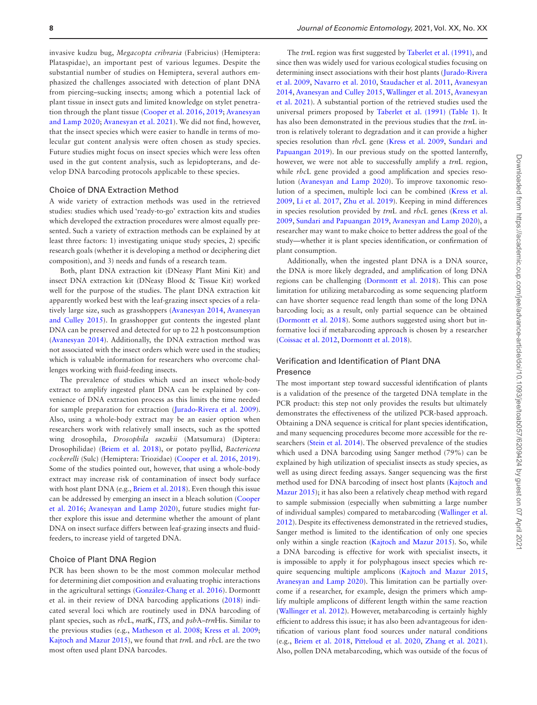invasive kudzu bug, *Megacopta cribraria* (Fabricius) (Hemiptera: Plataspidae), an important pest of various legumes. Despite the substantial number of studies on Hemiptera, several authors emphasized the challenges associated with detection of plant DNA from piercing–sucking insects; among which a potential lack of plant tissue in insect guts and limited knowledge on stylet penetration through the plant tissue [\(Cooper et al. 2016,](#page-9-7) [2019](#page-9-14); [Avanesyan](#page-9-6)  [and Lamp 2020;](#page-9-6) [Avanesyan et al. 2021](#page-9-8)). We did not find, however, that the insect species which were easier to handle in terms of molecular gut content analysis were often chosen as study species. Future studies might focus on insect species which were less often used in the gut content analysis, such as lepidopterans, and develop DNA barcoding protocols applicable to these species.

#### Choice of DNA Extraction Method

A wide variety of extraction methods was used in the retrieved studies: studies which used 'ready-to-go' extraction kits and studies which developed the extraction procedures were almost equally presented. Such a variety of extraction methods can be explained by at least three factors: 1) investigating unique study species, 2) specific research goals (whether it is developing a method or deciphering diet composition), and 3) needs and funds of a research team.

Both, plant DNA extraction kit (DNeasy Plant Mini Kit) and insect DNA extraction kit (DNeasy Blood & Tissue Kit) worked well for the purpose of the studies. The plant DNA extraction kit apparently worked best with the leaf-grazing insect species of a relatively large size, such as grasshoppers ([Avanesyan 2014,](#page-9-4) [Avanesyan](#page-9-13)  [and Culley 2015](#page-9-13)). In grasshopper gut contents the ingested plant DNA can be preserved and detected for up to 22 h postconsumption [\(Avanesyan 2014](#page-9-4)). Additionally, the DNA extraction method was not associated with the insect orders which were used in the studies; which is valuable information for researchers who overcome challenges working with fluid-feeding insects.

The prevalence of studies which used an insect whole-body extract to amplify ingested plant DNA can be explained by convenience of DNA extraction process as this limits the time needed for sample preparation for extraction [\(Jurado-Rivera et al. 2009](#page-10-5)). Also, using a whole-body extract may be an easier option when researchers work with relatively small insects, such as the spotted wing drosophila, *Drosophila suzukii* (Matsumura) (Diptera: Drosophilidae) ([Briem et al. 2018](#page-9-17)), or potato psyllid, *Bactericera cockerelli* (Sulc) (Hemiptera: Triozidae) [\(Cooper et al. 2016,](#page-9-7) [2019](#page-9-14)). Some of the studies pointed out, however, that using a whole-body extract may increase risk of contamination of insect body surface with host plant DNA (e.g., [Briem et al. 2018](#page-9-17)). Even though this issue can be addressed by emerging an insect in a bleach solution ([Cooper](#page-9-7)  [et al. 2016](#page-9-7); [Avanesyan and Lamp 2020\)](#page-9-6), future studies might further explore this issue and determine whether the amount of plant DNA on insect surface differs between leaf-grazing insects and fluidfeeders, to increase yield of targeted DNA.

### Choice of Plant DNA Region

PCR has been shown to be the most common molecular method for determining diet composition and evaluating trophic interactions in the agricultural settings [\(González-Chang et al. 2016\)](#page-10-12). Dormontt et al. in their review of DNA barcoding applications ([2018\)](#page-9-11) indicated several loci which are routinely used in DNA barcoding of plant species, such as *rbc*L, *mat*K, *ITS*, and *psb*A–*trn*His. Similar to the previous studies (e.g., [Matheson et al. 2008;](#page-10-15) [Kress et al. 2009](#page-10-33); [Kajtoch and Mazur 2015\)](#page-10-27), we found that *trn*L and *rbc*L are the two most often used plant DNA barcodes.

The *trn*L region was first suggested by [Taberlet et al. \(1991\),](#page-11-21) and since then was widely used for various ecological studies focusing on determining insect associations with their host plants ([Jurado-Rivera](#page-10-5)  [et al. 2009,](#page-10-5) [Navarro et al. 2010](#page-10-25), [Staudacher et al. 2011,](#page-11-11) [Avanesyan](#page-9-4)  [2014](#page-9-4), [Avanesyan and Culley 2015](#page-9-13), [Wallinger et al. 2015](#page-11-18), [Avanesyan](#page-9-8)  [et al. 2021](#page-9-8)). A substantial portion of the retrieved studies used the universal primers proposed by [Taberlet et al. \(1991\)](#page-11-21) [\(Table 1](#page-5-0)). It has also been demonstrated in the previous studies that the *trn*L intron is relatively tolerant to degradation and it can provide a higher species resolution than *rbc*L gene [\(Kress et al. 2009](#page-10-33), [Sundari and](#page-10-33)  [Papuangan 2019\)](#page-10-33). In our previous study on the spotted lanternfly, however, we were not able to successfully amplify a *trn*L region, while *rbc*L gene provided a good amplification and species resolution [\(Avanesyan and Lamp 2020](#page-9-6)). To improve taxonomic resolution of a specimen, multiple loci can be combined ([Kress et al.](#page-10-33)  [2009](#page-10-33), [Li et al. 2017](#page-10-34), [Zhu et al. 2019\)](#page-11-7). Keeping in mind differences in species resolution provided by *trn*L and *rbc*L genes ([Kress et al.](#page-10-33)  [2009](#page-10-33), [Sundari and Papuangan 2019](#page-10-33), [Avanesyan and Lamp 2020\)](#page-9-6), a researcher may want to make choice to better address the goal of the study—whether it is plant species identification, or confirmation of plant consumption.

Additionally, when the ingested plant DNA is a DNA source, the DNA is more likely degraded, and amplification of long DNA regions can be challenging ([Dormontt et al. 2018\)](#page-9-11). This can pose limitation for utilizing metabarcoding as some sequencing platform can have shorter sequence read length than some of the long DNA barcoding loci; as a result, only partial sequence can be obtained [\(Dormontt et al. 2018\)](#page-9-11). Some authors suggested using short but informative loci if metabarcoding approach is chosen by a researcher [\(Coissac et al. 2012](#page-9-18), [Dormontt et al. 2018\)](#page-9-11).

## Verification and Identification of Plant DNA Presence

The most important step toward successful identification of plants is a validation of the presence of the targeted DNA template in the PCR product: this step not only provides the results but ultimately demonstrates the effectiveness of the utilized PCR-based approach. Obtaining a DNA sequence is critical for plant species identification, and many sequencing procedures become more accessible for the researchers [\(Stein et al. 2014\)](#page-11-22). The observed prevalence of the studies which used a DNA barcoding using Sanger method (79%) can be explained by high utilization of specialist insects as study species, as well as using direct feeding assays. Sanger sequencing was the first method used for DNA barcoding of insect host plants [\(Kajtoch and](#page-10-27)  [Mazur 2015\)](#page-10-27); it has also been a relatively cheap method with regard to sample submission (especially when submitting a large number of individual samples) compared to metabarcoding [\(Wallinger et al.](#page-11-4)  [2012](#page-11-4)). Despite its effectiveness demonstrated in the retrieved studies, Sanger method is limited to the identification of only one species only within a single reaction [\(Kajtoch and Mazur 2015](#page-10-27)). So, while a DNA barcoding is effective for work with specialist insects, it is impossible to apply it for polyphagous insect species which require sequencing multiple amplicons [\(Kajtoch and Mazur 2015,](#page-10-27) [Avanesyan and Lamp 2020](#page-9-6)). This limitation can be partially overcome if a researcher, for example, design the primers which amplify multiple amplicons of different length within the same reaction [\(Wallinger et al. 2012](#page-11-4)). However, metabarcoding is certainly highly efficient to address this issue; it has also been advantageous for identification of various plant food sources under natural conditions (e.g., [Briem et al. 2018,](#page-9-17) [Pitteloud et al. 2020,](#page-10-35) [Zhang et al. 2021](#page-11-23)). Also, pollen DNA metabarcoding, which was outside of the focus of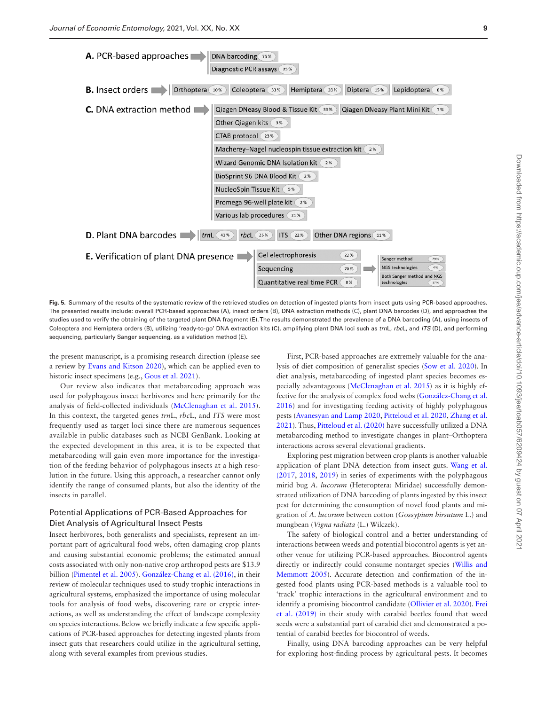





<span id="page-8-0"></span>**Fig. 5.** Summary of the results of the systematic review of the retrieved studies on detection of ingested plants from insect guts using PCR-based approaches. The presented results include: overall PCR-based approaches (A), insect orders (B), DNA extraction methods (C), plant DNA barcodes (D), and approaches the studies used to verify the obtaining of the targeted plant DNA fragment (E). The results demonstrated the prevalence of a DNA barcoding (A), using insects of Coleoptera and Hemiptera orders (B), utilizing 'ready-to-go' DNA extraction kits (C), amplifying plant DNA loci such as *trn*L, *rbc*L, and *ITS* (D), and performing sequencing, particularly Sanger sequencing, as a validation method (E).

the present manuscript, is a promising research direction (please see a review by [Evans and Kitson 2020](#page-9-19)), which can be applied even to historic insect specimens (e.g., [Gous et al. 2021](#page-10-36)).

Our review also indicates that metabarcoding approach was used for polyphagous insect herbivores and here primarily for the analysis of field-collected individuals [\(McClenaghan et al. 2015\)](#page-10-23). In this context, the targeted genes *trn*L, *rbc*L, and *ITS* were most frequently used as target loci since there are numerous sequences available in public databases such as NCBI GenBank. Looking at the expected development in this area, it is to be expected that metabarcoding will gain even more importance for the investigation of the feeding behavior of polyphagous insects at a high resolution in the future. Using this approach, a researcher cannot only identify the range of consumed plants, but also the identity of the insects in parallel.

## Potential Applications of PCR-Based Approaches for Diet Analysis of Agricultural Insect Pests

Insect herbivores, both generalists and specialists, represent an important part of agricultural food webs, often damaging crop plants and causing substantial economic problems; the estimated annual costs associated with only non-native crop arthropod pests are \$13.9 billion ([Pimentel et al. 2005\)](#page-10-37). [González-Chang et al. \(2016\)](#page-10-12), in their review of molecular techniques used to study trophic interactions in agricultural systems, emphasized the importance of using molecular tools for analysis of food webs, discovering rare or cryptic interactions, as well as understanding the effect of landscape complexity on species interactions. Below we briefly indicate a few specific applications of PCR-based approaches for detecting ingested plants from insect guts that researchers could utilize in the agricultural setting, along with several examples from previous studies.

First, PCR-based approaches are extremely valuable for the analysis of diet composition of generalist species ([Sow et al. 2020](#page-11-9)). In diet analysis, metabarcoding of ingested plant species becomes especially advantageous [\(McClenaghan et al. 2015\)](#page-10-23) as it is highly effective for the analysis of complex food webs ([González-Chang et al.](#page-10-12)  [2016](#page-10-12)) and for investigating feeding activity of highly polyphagous pests [\(Avanesyan and Lamp 2020,](#page-9-6) [Pitteloud et al. 2020](#page-10-35), [Zhang et al.](#page-11-23)  [2021](#page-11-23)). Thus, [Pitteloud et al. \(2020\)](#page-10-35) have successfully utilized a DNA metabarcoding method to investigate changes in plant–Orthoptera interactions across several elevational gradients.

Exploring pest migration between crop plants is another valuable application of plant DNA detection from insect guts. [Wang et al.](#page-11-19)  [\(2017](#page-11-19), [2018,](#page-11-14) [2019\)](#page-11-12) in series of experiments with the polyphagous mirid bug *A. lucorum* (Heteroptera: Miridae) successfully demonstrated utilization of DNA barcoding of plants ingested by this insect pest for determining the consumption of novel food plants and migration of *A. lucorum* between cotton (*Gossypium hirsutum* L.) and mungbean (*Vigna radiata* (L.) Wilczek).

The safety of biological control and a better understanding of interactions between weeds and potential biocontrol agents is yet another venue for utilizing PCR-based approaches. Biocontrol agents directly or indirectly could consume nontarget species ([Willis and](#page-11-24)  [Memmott 2005\)](#page-11-24). Accurate detection and confirmation of the ingested food plants using PCR-based methods is a valuable tool to 'track' trophic interactions in the agricultural environment and to identify a promising biocontrol candidate [\(Ollivier et al. 2020](#page-10-14)). [Frei](#page-10-13)  [et al. \(2019\)](#page-10-13) in their study with carabid beetles found that weed seeds were a substantial part of carabid diet and demonstrated a potential of carabid beetles for biocontrol of weeds.

Finally, using DNA barcoding approaches can be very helpful for exploring host-finding process by agricultural pests. It becomes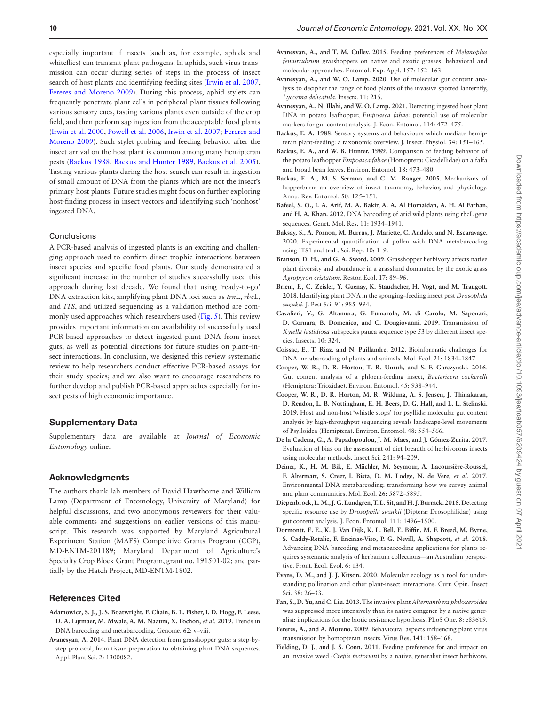especially important if insects (such as, for example, aphids and whiteflies) can transmit plant pathogens. In aphids, such virus transmission can occur during series of steps in the process of insect search of host plants and identifying feeding sites [\(Irwin et al. 2007,](#page-10-38) [Fereres and Moreno 2009\)](#page-9-20). During this process, aphid stylets can frequently penetrate plant cells in peripheral plant tissues following various sensory cues, tasting various plants even outside of the crop field, and then perform sap ingestion from the acceptable food plants [\(Irwin et al. 2000](#page-10-39), [Powell et al. 2006](#page-11-25), [Irwin et al. 2007](#page-10-38); [Fereres and](#page-9-20)  [Moreno 2009](#page-9-20)). Such stylet probing and feeding behavior after the insect arrival on the host plant is common among many hemipteran pests ([Backus 1988,](#page-9-21) [Backus and Hunter 1989,](#page-9-22) [Backus et al. 2005](#page-9-23)). Tasting various plants during the host search can result in ingestion of small amount of DNA from the plants which are not the insect's primary host plants. Future studies might focus on further exploring host-finding process in insect vectors and identifying such 'nonhost' ingested DNA.

#### Conclusions

A PCR-based analysis of ingested plants is an exciting and challenging approach used to confirm direct trophic interactions between insect species and specific food plants. Our study demonstrated a significant increase in the number of studies successfully used this approach during last decade. We found that using 'ready-to-go' DNA extraction kits, amplifying plant DNA loci such as *trn*L, *rbc*L, and *ITS*, and utilized sequencing as a validation method are commonly used approaches which researchers used [\(Fig. 5\)](#page-8-0). This review provides important information on availability of successfully used PCR-based approaches to detect ingested plant DNA from insect guts, as well as potential directions for future studies on plant–insect interactions. In conclusion, we designed this review systematic review to help researchers conduct effective PCR-based assays for their study species; and we also want to encourage researchers to further develop and publish PCR-based approaches especially for insect pests of high economic importance.

#### **Supplementary Data**

Supplementary data are available at *Journal of Economic Entomology* online.

#### **Acknowledgments**

The authors thank lab members of David Hawthorne and William Lamp (Department of Entomology, University of Maryland) for helpful discussions, and two anonymous reviewers for their valuable comments and suggestions on earlier versions of this manuscript. This research was supported by Maryland Agricultural Experiment Station (MAES) Competitive Grants Program (CGP), MD-ENTM-201189; Maryland Department of Agriculture's Specialty Crop Block Grant Program, grant no. 191501-02; and partially by the Hatch Project, MD-ENTM-1802.

#### **References Cited**

- <span id="page-9-12"></span>**Adamowicz, S. J., J. S. Boatwright, F. Chain, B. L. Fisher, I. D. Hogg, F. Leese, D. A. Lijtmaer, M. Mwale, A. M. Naaum, X. Pochon,** *et al.* **2019**. Trends in DNA barcoding and metabarcoding. Genome. 62: v–viii.
- <span id="page-9-4"></span>**Avanesyan, A. 2014**. Plant DNA detection from grasshopper guts: a step-bystep protocol, from tissue preparation to obtaining plant DNA sequences. Appl. Plant Sci. 2: 1300082.
- <span id="page-9-13"></span>**Avanesyan, A., and T. M. Culley. 2015**. Feeding preferences of *Melanoplus femurrubrum* grasshoppers on native and exotic grasses: behavioral and molecular approaches. Entomol. Exp. Appl. 157: 152–163.
- <span id="page-9-6"></span>**Avanesyan, A., and W. O. Lamp. 2020**. Use of molecular gut content analysis to decipher the range of food plants of the invasive spotted lanternfly, *Lycorma delicatula*. Insects. 11: 215.
- <span id="page-9-8"></span>**Avanesyan, A., N. Illahi, and W. O. Lamp. 2021**. Detecting ingested host plant DNA in potato leafhopper, *Empoasca fabae*: potential use of molecular markers for gut content analysis. J. Econ. Entomol. 114: 472–475.
- <span id="page-9-21"></span>**Backus, E. A. 1988**. Sensory systems and behaviours which mediate hemipteran plant-feeding: a taxonomic overview. J. Insect. Physiol. 34: 151–165.
- <span id="page-9-22"></span>**Backus, E. A., and W. B. Hunter. 1989**. Comparison of feeding behavior of the potato leafhopper *Empoasca fabae* (Homoptera: Cicadellidae) on alfalfa and broad bean leaves. Environ. Entomol. 18: 473–480.
- <span id="page-9-23"></span>**Backus, E. A., M. S. Serrano, and C. M. Ranger. 2005**. Mechanisms of hopperburn: an overview of insect taxonomy, behavior, and physiology. Annu. Rev. Entomol. 50: 125–151.
- <span id="page-9-3"></span>**Bafeel, S. O., I. A. Arif, M. A. Bakir, A. A. Al Homaidan, A. H. Al Farhan, and H. A. Khan. 2012**. DNA barcoding of arid wild plants using rbcL gene sequences. Genet. Mol. Res. 11: 1934–1941.
- <span id="page-9-10"></span>**Baksay, S., A. Pornon, M. Burrus, J. Mariette, C. Andalo, and N. Escaravage. 2020**. Experimental quantification of pollen with DNA metabarcoding using ITS1 and trnL. Sci. Rep. 10: 1–9.
- <span id="page-9-0"></span>**Branson, D. H., and G. A. Sword. 2009**. Grasshopper herbivory affects native plant diversity and abundance in a grassland dominated by the exotic grass *Agropyron cristatum*. Restor. Ecol. 17: 89–96.
- <span id="page-9-17"></span>**Briem, F., C. Zeisler, Y. Guenay, K. Staudacher, H. Vogt, and M. Traugott. 2018**. Identifying plant DNA in the sponging–feeding insect pest *Drosophila suzukii*. J. Pest Sci. 91: 985–994.
- <span id="page-9-16"></span>**Cavalieri, V., G. Altamura, G. Fumarola, M. di Carolo, M. Saponari, D. Cornara, B. Domenico, and C. Dongiovanni. 2019**. Transmission of *Xylella fastidiosa* subspecies pauca sequence type 53 by different insect species. Insects. 10: 324.
- <span id="page-9-18"></span>**Coissac, E., T. Riaz, and N. Puillandre. 2012**. Bioinformatic challenges for DNA metabarcoding of plants and animals. Mol. Ecol. 21: 1834–1847.
- <span id="page-9-7"></span>**Cooper, W. R., D. R. Horton, T. R. Unruh, and S. F. Garczynski. 2016**. Gut content analysis of a phloem-feeding insect, *Bactericera cockerelli* (Hemiptera: Triozidae). Environ. Entomol. 45: 938–944.
- <span id="page-9-14"></span>**Cooper, W. R., D. R. Horton, M. R. Wildung, A. S. Jensen, J. Thinakaran, D. Rendon, L. B. Nottingham, E. H. Beers, D. G. Hall, and L. L. Stelinski. 2019**. Host and non-host 'whistle stops' for psyllids: molecular gut content analysis by high-throughput sequencing reveals landscape-level movements of Psylloidea (Hemiptera). Environ. Entomol. 48: 554–566.
- <span id="page-9-5"></span>**De la Cadena, G., A. Papadopoulou, J. M. Maes, and J. Gómez-Zurita. 2017**. Evaluation of bias on the assessment of diet breadth of herbivorous insects using molecular methods. Insect Sci. 241: 94–209.
- <span id="page-9-9"></span>**Deiner, K., H. M. Bik, E. Mächler, M. Seymour, A. Lacoursière-Roussel, F. Altermatt, S. Creer, I. Bista, D. M. Lodge, N. de Vere,** *et al.* **2017**. Environmental DNA metabarcoding: transforming how we survey animal and plant communities. Mol. Ecol. 26: 5872–5895.
- <span id="page-9-15"></span>**Diepenbrock, L. M., J. G. Lundgren, T. L. Sit, and H. J. Burrack. 2018**. Detecting specific resource use by *Drosophila suzukii* (Diptera: Drosophilidae) using gut content analysis. J. Econ. Entomol. 111: 1496–1500.
- <span id="page-9-11"></span>**Dormontt, E. E., K. J. Van Dijk, K. L. Bell, E. Biffin, M. F. Breed, M. Byrne, S. Caddy-Retalic, F. Encinas-Viso, P. G. Nevill, A. Shapcott,** *et al.* **2018**. Advancing DNA barcoding and metabarcoding applications for plants requires systematic analysis of herbarium collections—an Australian perspective. Front. Ecol. Evol. 6: 134.
- <span id="page-9-19"></span>**Evans, D. M., and J. J. Kitson. 2020**. Molecular ecology as a tool for understanding pollination and other plant-insect interactions. Curr. Opin. Insect Sci. 38: 26–33.
- <span id="page-9-2"></span>**Fan, S., D. Yu, and C. Liu. 2013**. The invasive plant *Alternanthera philoxeroides* was suppressed more intensively than its native congener by a native generalist: implications for the biotic resistance hypothesis. PLoS One. 8: e83619.
- <span id="page-9-20"></span>**Fereres, A., and A. Moreno. 2009**. Behavioural aspects influencing plant virus transmission by homopteran insects. Virus Res. 141: 158–168.
- <span id="page-9-1"></span>**Fielding, D. J., and J. S. Conn. 2011**. Feeding preference for and impact on an invasive weed (*Crepis tectorum*) by a native, generalist insect herbivore,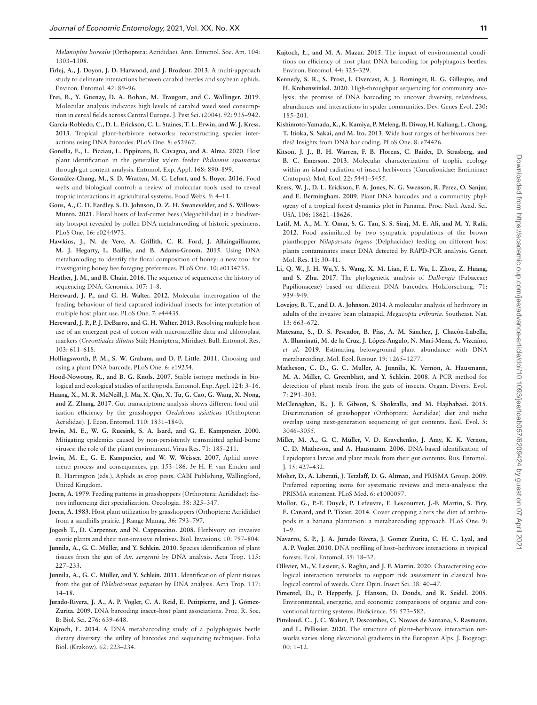*Melanoplus borealis* (Orthoptera: Acrididae). Ann. Entomol. Soc. Am. 104: 1303–1308.

- <span id="page-10-10"></span>**Firlej, A., J. Doyon, J. D. Harwood, and J. Brodeur. 2013**. A multi-approach study to delineate interactions between carabid beetles and soybean aphids. Environ. Entomol. 42: 89–96.
- <span id="page-10-13"></span>**Frei, B., Y. Guenay, D. A. Bohan, M. Traugott, and C. Wallinger. 2019**. Molecular analysis indicates high levels of carabid weed seed consumption in cereal fields across Central Europe. J. Pest Sci. (2004). 92: 935–942.
- <span id="page-10-6"></span>**García-Robledo, C., D. L. Erickson, C. L. Staines, T. L. Erwin, and W. J. Kress. 2013**. Tropical plant-herbivore networks: reconstructing species interactions using DNA barcodes. PLoS One. 8: e52967.
- <span id="page-10-32"></span>**Gonella, E., L. Picciau, L. Pippinato, B. Cavagna, and A. Alma. 2020**. Host plant identification in the generalist xylem feeder *Philaenus spumarius* through gut content analysis. Entomol. Exp. Appl. 168: 890–899.
- <span id="page-10-12"></span>**González-Chang, M., S. D. Wratten, M. C. Lefort, and S. Boyer. 2016**. Food webs and biological control: a review of molecular tools used to reveal trophic interactions in agricultural systems. Food Webs. 9: 4–11.
- <span id="page-10-36"></span>**Gous, A., C. D. Eardley, S. D. Johnson, D. Z. H. Swanevelder, and S. Willows-Munro. 2021**. Floral hosts of leaf-cutter bees (Megachilidae) in a biodiversity hotspot revealed by pollen DNA metabarcoding of historic specimens. PLoS One. 16: e0244973.
- <span id="page-10-16"></span>**Hawkins, J., N. de Vere, A. Griffith, C. R. Ford, J. Allainguillaume, M. J. Hegarty, L. Baillie, and B. Adams-Groom. 2015**. Using DNA metabarcoding to identify the floral composition of honey: a new tool for investigating honey bee foraging preferences. PLoS One. 10: e0134735.
- <span id="page-10-22"></span>**Heather, J. M., and B. Chain. 2016**. The sequence of sequencers: the history of sequencing DNA. Genomics. 107: 1–8.
- <span id="page-10-8"></span>Hereward, J. P., and G. H. Walter. 2012. Molecular interrogation of the feeding behaviour of field captured individual insects for interpretation of multiple host plant use. PLoS One. 7: e44435.
- <span id="page-10-29"></span>**Hereward, J. P., P. J. DeBarro, and G. H. Walter. 2013**. Resolving multiple host use of an emergent pest of cotton with microsatellite data and chloroplast markers (*Creontiades dilutus* Stål; Hemiptera, Miridae). Bull. Entomol. Res. 103: 611–618.
- <span id="page-10-21"></span>**Hollingsworth, P. M., S. W. Graham, and D. P. Little. 2011**. Choosing and using a plant DNA barcode. PLoS One. 6: e19254.
- <span id="page-10-3"></span>**Hood-Nowotny, R., and B. G. Knols. 2007**. Stable isotope methods in biological and ecological studies of arthropods. Entomol. Exp. Appl. 124: 3–16.
- <span id="page-10-7"></span>**Huang, X., M. R. McNeill, J. Ma, X. Qin, X. Tu, G. Cao, G. Wang, X. Nong, and Z. Zhang. 2017**. Gut transcriptome analysis shows different food utilization efficiency by the grasshopper *Oedaleous asiaticus* (Orthoptera: Acrididae). J. Econ. Entomol. 110: 1831–1840.
- <span id="page-10-39"></span>**Irwin, M. E., W. G. Ruesink, S. A. Isard, and G. E. Kampmeier. 2000**. Mitigating epidemics caused by non-persistently transmitted aphid-borne viruses: the role of the pliant environment. Virus Res. 71: 185–211.
- <span id="page-10-38"></span>**Irwin, M. E., G. E. Kampmeier, and W. W. Weisser. 2007**. Aphid movement: process and consequences, pp. 153-186. *In* H. F. van Emden and R. Harrington (eds.), Aphids as crop pests. CABI Publishing, Wallingford, United Kingdom.
- <span id="page-10-1"></span>**Joern, A. 1979**. Feeding patterns in grasshoppers (Orthoptera: Acrididae): factors influencing diet specialization. Oecologia. 38: 325–347.
- <span id="page-10-2"></span>**Joern, A. 1983**. Host plant utilization by grasshoppers (Orthoptera: Acrididae) from a sandhills prairie. J Range Manag. 36: 793–797.
- <span id="page-10-0"></span>**Jogesh T., D. Carpenter, and N. Cappuccino. 2008**. Herbivory on invasive exotic plants and their non-invasive relatives. Biol. Invasions. 10: 797–804.
- <span id="page-10-30"></span>**Junnila, A., G. C. Müller, and Y. Schlein. 2010**. Species identification of plant tissues from the gut of *An. sergentii* by DNA analysis. Acta Trop. 115: 227–233.
- <span id="page-10-31"></span>**Junnila, A., G. C. Müller, and Y. Schlein. 2011**. Identification of plant tissues from the gut of *Phlebotomus papatasi* by DNA analysis. Acta Trop. 117: 14–18.
- <span id="page-10-5"></span>**Jurado-Rivera, J. A., A. P. Vogler, C. A. Reid, E. Petitpierre, and J. Gómez-Zurita. 2009**. DNA barcoding insect–host plant associations. Proc. R. Soc. B: Biol. Sci. 276: 639–648.
- <span id="page-10-26"></span>**Kajtoch, Ł. 2014**. A DNA metabarcoding study of a polyphagous beetle dietary diversity: the utility of barcodes and sequencing techniques. Folia Biol. (Krakow). 62: 223–234.
- <span id="page-10-27"></span>**Kajtoch, Ł., and M. A. Mazur. 2015**. The impact of environmental conditions on efficiency of host plant DNA barcoding for polyphagous beetles. Environ. Entomol. 44: 325–329.
- <span id="page-10-18"></span>**Kennedy, S. R., S. Prost, I. Overcast, A. J. Rominger, R. G. Gillespie, and H. Krehenwinkel. 2020**. High-throughput sequencing for community analysis: the promise of DNA barcoding to uncover diversity, relatedness, abundances and interactions in spider communities. Dev. Genes Evol. 230: 185–201.
- <span id="page-10-20"></span>**Kishimoto-Yamada, K., K. Kamiya, P. Meleng, B. Diway, H. Kaliang, L. Chong, T. Itioka, S. Sakai, and M. Ito. 2013**. Wide host ranges of herbivorous beetles? Insights from DNA bar coding. PLoS One. 8: e74426.
- <span id="page-10-9"></span>**Kitson, J. J., B. H. Warren, F. B. Florens, C. Baider, D. Strasberg, and B. C. Emerson. 2013**. Molecular characterization of trophic ecology within an island radiation of insect herbivores (Curculionidae: Entiminae: Cratopus). Mol. Ecol. 22: 5441–5455.
- <span id="page-10-33"></span>**Kress, W. J., D. L. Erickson, F. A. Jones, N. G. Swenson, R. Perez, O. Sanjur, and E. Bermingham. 2009**. Plant DNA barcodes and a community phylogeny of a tropical forest dynamics plot in Panama. Proc. Natl. Acad. Sci. USA. 106: 18621–18626.
- <span id="page-10-28"></span>**Latif, M. A., M. Y. Omar, S. G. Tan, S. S. Siraj, M. E. Ali, and M. Y. Rafii. 2012**. Food assimilated by two sympatric populations of the brown planthopper *Nilaparvata lugens* (Delphacidae) feeding on different host plants contaminates insect DNA detected by RAPD-PCR analysis. Genet. Mol. Res. 11: 30–41.
- <span id="page-10-34"></span>**Li, Q. W., J. H. Wu,Y. S. Wang, X. M. Lian, F. L. Wu, L. Zhou, Z. Huang, and S. Zhu. 2017**. The phylogenetic analysis of *Dalbergia* (Fabaceae: Papilionaceae) based on different DNA barcodes. Holzforschung. 71: 939–949.
- <span id="page-10-24"></span>**Lovejoy, R. T., and D. A. Johnson. 2014**. A molecular analysis of herbivory in adults of the invasive bean plataspid, *Megacopta cribraria*. Southeast. Nat. 13: 663–672.
- <span id="page-10-17"></span>**Matesanz, S., D. S. Pescador, B. Pías, A. M. Sánchez, J. Chacón-Labella, A. Illuminati, M. de la Cruz, J. López-Angulo, N. Marí-Mena, A. Vizcaíno,**  *et al.* **2019**. Estimating belowground plant abundance with DNA metabarcoding. Mol. Ecol. Resour. 19: 1265–1277.
- <span id="page-10-15"></span>**Matheson, C. D., G. C. Muller, A. Junnila, K. Vernon, A. Hausmann, M. A. Miller, C. Greenblatt, and Y. Schlein. 2008**. A PCR method for detection of plant meals from the guts of insects. Organ. Divers. Evol. 7: 294–303.
- <span id="page-10-23"></span>**McClenaghan, B., J. F. Gibson, S. Shokralla, and M. Hajibabaei. 2015**. Discrimination of grasshopper (Orthoptera: Acrididae) diet and niche overlap using next-generation sequencing of gut contents. Ecol. Evol. 5: 3046–3055.
- <span id="page-10-4"></span>**Miller, M. A., G. C. Müller, V. D. Kravchenko, J. Amy, K. K. Vernon, C. D. Matheson, and A. Hausmann. 2006**. DNA-based identification of Lepidoptera larvae and plant meals from their gut contents. Rus. Entomol. J. 15: 427–432.
- <span id="page-10-19"></span>**Moher, D., A. Liberati, J. Tetzlaff, D. G. Altman,** and PRISMA Group. **2009**. Preferred reporting items for systematic reviews and meta-analyses: the PRISMA statement. PLoS Med. 6: e1000097.
- <span id="page-10-11"></span>**Mollot, G., P.-F. Duyck, P. Lefeuvre, F. Lescourret, J.-F. Martin, S. Piry, E. Canard, and P. Tixier. 2014**. Cover cropping alters the diet of arthropods in a banana plantation: a metabarcoding approach. PLoS One. 9:  $1 - 9$
- <span id="page-10-25"></span>**Navarro, S. P., J. A. Jurado Rivera, J. Gomez Zurita, C. H. C. Lyal, and A. P. Vogler. 2010**. DNA profiling of host–herbivore interactions in tropical forests. Ecol. Entomol. 35: 18–32.
- <span id="page-10-14"></span>**Ollivier, M., V. Lesieur, S. Raghu, and J. F. Martin. 2020**. Characterizing ecological interaction networks to support risk assessment in classical biological control of weeds. Curr. Opin. Insect Sci. 38: 40–47.
- <span id="page-10-37"></span>**Pimentel, D., P. Hepperly, J. Hanson, D. Douds, and R. Seidel. 2005**. Environmental, energetic, and economic comparisons of organic and conventional farming systems. BioScience. 55: 573–582.
- <span id="page-10-35"></span>**Pitteloud, C., J. C. Walser, P. Descombes, C. Novaes de Santana, S. Rasmann, and L. Pellissier. 2020**. The structure of plant–herbivore interaction networks varies along elevational gradients in the European Alps. J. Biogeogr. 00: 1–12.